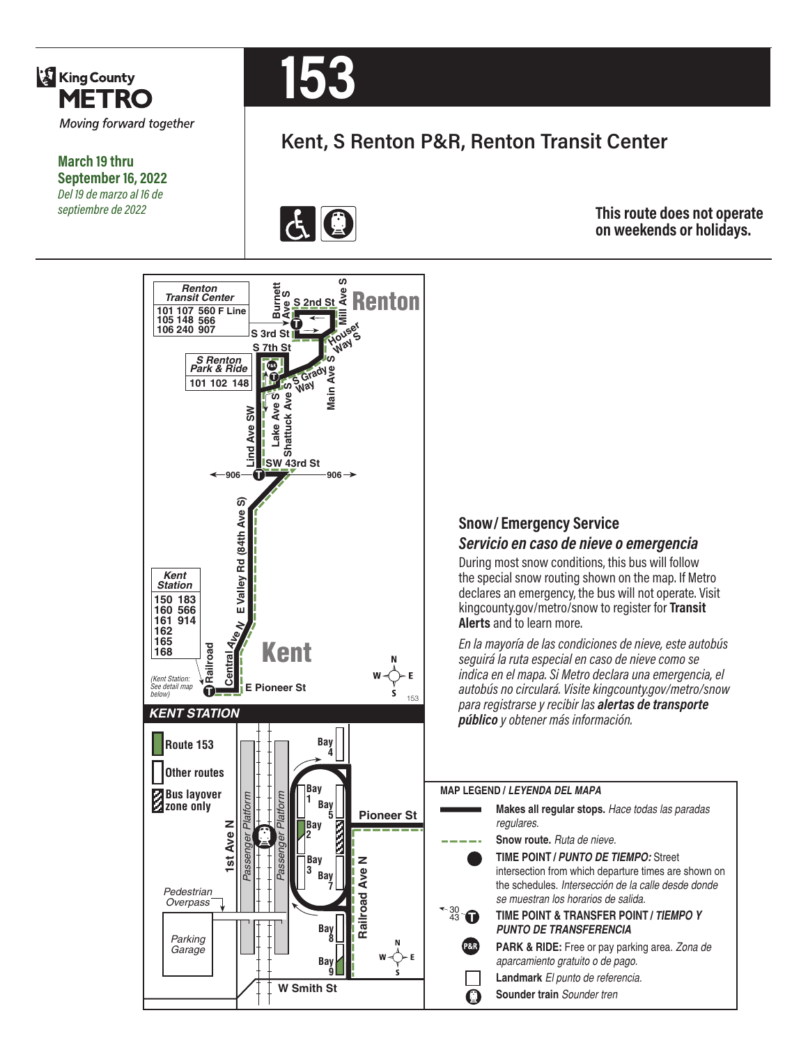

**March 19 thru September 16, 2022** *Del 19 de marzo al 16 de septiembre de 2022*



# **Kent, S Renton P&R, Renton Transit Center**



**This route does not operate on weekends or holidays.**



### **Snow/ Emergency Service**  *Servicio en caso de nieve o emergencia*

During most snow conditions, this bus will follow the special snow routing shown on the map. If Metro declares an emergency, the bus will not operate. Visit kingcounty.gov/metro/snow to register for **Transit Alerts** and to learn more.

*En la mayoría de las condiciones de nieve, este autobús seguirá la ruta especial en caso de nieve como se indica en el mapa. Si Metro declara una emergencia, el autobús no circulará. Visite kingcounty.gov/metro/snow para registrarse y recibir las alertas de transporte público y obtener más información.*

#### **MAP LEGEND /** *LEYENDA DEL MAPA*

**Makes all regular stops.** *Hace todas las paradas regulares.* **Snow route.** *Ruta de nieve.*  **TIME POINT /** *PUNTO DE TIEMPO:* Street intersection from which departure times are shown on the schedules. *Intersección de la calle desde donde se muestran los horarios de salida.* **TIME POINT & TRANSFER POINT /** *TIEMPO Y PUNTO DE TRANSFERENCIA* **PARK & RIDE:** Free or pay parking area. *Zona de aparcamiento gratuito o de pago.* **Landmark** *El punto de referencia.* **Sounder train** *Sounder tren*